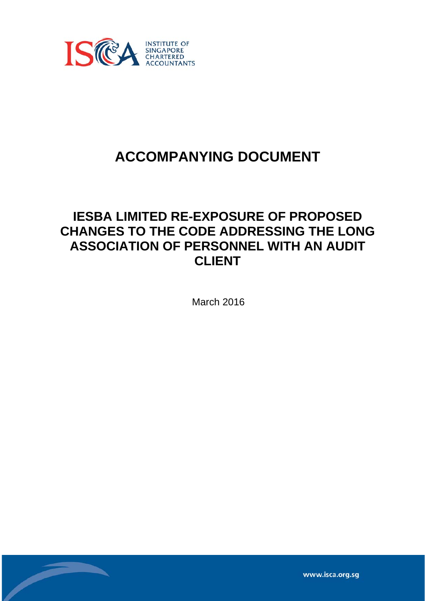

# **ACCOMPANYING DOCUMENT**

## **IESBA LIMITED RE-EXPOSURE OF PROPOSED CHANGES TO THE CODE ADDRESSING THE LONG ASSOCIATION OF PERSONNEL WITH AN AUDIT CLIENT**

March 2016

www.isca.org.sq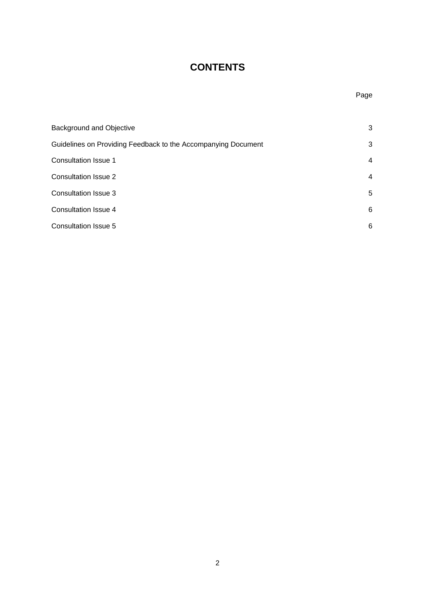### **CONTENTS**

| 3<br><b>Background and Objective</b><br>3<br>Guidelines on Providing Feedback to the Accompanying Document<br>Consultation Issue 1<br>$\overline{4}$<br><b>Consultation Issue 2</b><br>$\overline{4}$<br>Consultation Issue 3<br>5<br>Consultation Issue 4<br>6<br>Consultation Issue 5<br>6 |  |
|----------------------------------------------------------------------------------------------------------------------------------------------------------------------------------------------------------------------------------------------------------------------------------------------|--|
|                                                                                                                                                                                                                                                                                              |  |
|                                                                                                                                                                                                                                                                                              |  |
|                                                                                                                                                                                                                                                                                              |  |
|                                                                                                                                                                                                                                                                                              |  |
|                                                                                                                                                                                                                                                                                              |  |
|                                                                                                                                                                                                                                                                                              |  |
|                                                                                                                                                                                                                                                                                              |  |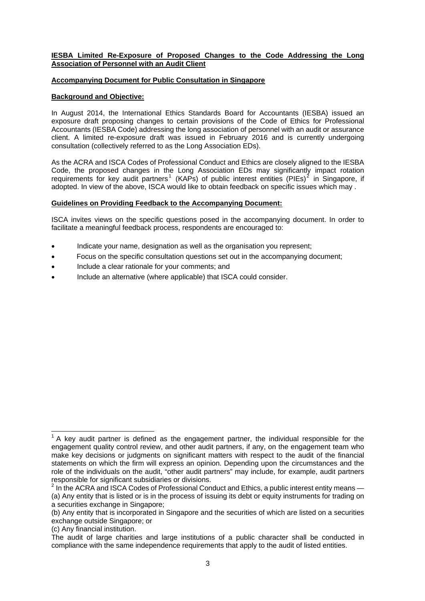#### **IESBA Limited Re-Exposure of Proposed Changes to the Code Addressing the Long Association of Personnel with an Audit Client**

#### **Accompanying Document for Public Consultation in Singapore**

#### **Background and Objective:**

In August 2014, the International Ethics Standards Board for Accountants (IESBA) issued an exposure draft proposing changes to certain provisions of the Code of Ethics for Professional Accountants (IESBA Code) addressing the long association of personnel with an audit or assurance client. A limited re-exposure draft was issued in February 2016 and is currently undergoing consultation (collectively referred to as the Long Association EDs).

As the ACRA and ISCA Codes of Professional Conduct and Ethics are closely aligned to the IESBA Code, the proposed changes in the Long Association EDs may significantly impact rotation requirements for key audit partners<sup>[1](#page-2-0)</sup> (KAPs) of public interest entities (PIEs)<sup>[2](#page-2-1)</sup> in Singapore, if adopted. In view of the above, ISCA would like to obtain feedback on specific issues which may .

#### **Guidelines on Providing Feedback to the Accompanying Document:**

ISCA invites views on the specific questions posed in the accompanying document. In order to facilitate a meaningful feedback process, respondents are encouraged to:

- Indicate your name, designation as well as the organisation you represent;
- Focus on the specific consultation questions set out in the accompanying document;
- Include a clear rationale for your comments; and
- Include an alternative (where applicable) that ISCA could consider.

(c) Any financial institution.

<span id="page-2-0"></span>The sum to the sum to the sum to the sum to the sum to the individual responsible for the sum the sum to the sum to the sum to key audit partner is defined as the engagement partner, the individual responsible for the engagement quality control review, and other audit partners, if any, on the engagement team who make key decisions or judgments on significant matters with respect to the audit of the financial statements on which the firm will express an opinion. Depending upon the circumstances and the role of the individuals on the audit, "other audit partners" may include, for example, audit partners responsible for significant subsidiaries or divisions.

<span id="page-2-1"></span> $2$  In the ACRA and ISCA Codes of Professional Conduct and Ethics, a public interest entity means  $-$ (a) Any entity that is listed or is in the process of issuing its debt or equity instruments for trading on a securities exchange in Singapore;

<sup>(</sup>b) Any entity that is incorporated in Singapore and the securities of which are listed on a securities exchange outside Singapore; or

The audit of large charities and large institutions of a public character shall be conducted in compliance with the same independence requirements that apply to the audit of listed entities.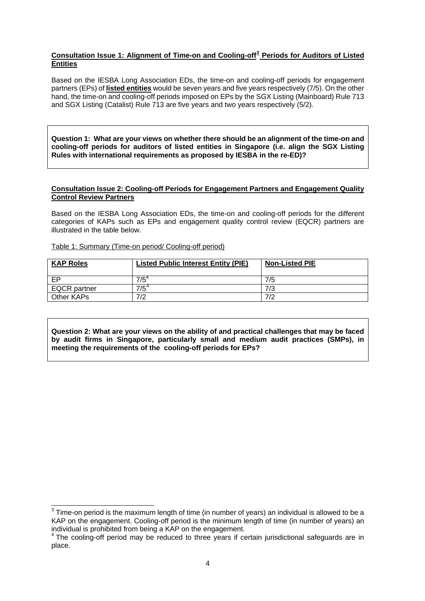#### <span id="page-3-0"></span>**Consultation Issue 1: Alignment of Time-on and Cooling-off[3](#page-3-0) Periods for Auditors of Listed Entities**

Based on the IESBA Long Association EDs, the time-on and cooling-off periods for engagement partners (EPs) of **listed entities** would be seven years and five years respectively (7/5). On the other hand, the time-on and cooling-off periods imposed on EPs by the SGX Listing (Mainboard) Rule 713 and SGX Listing (Catalist) Rule 713 are five years and two years respectively (5/2).

**Question 1: What are your views on whether there should be an alignment of the time-on and cooling-off periods for auditors of listed entities in Singapore (i.e. align the SGX Listing Rules with international requirements as proposed by IESBA in the re-ED)?** 

#### **Consultation Issue 2: Cooling-off Periods for Engagement Partners and Engagement Quality Control Review Partners**

Based on the IESBA Long Association EDs, the time-on and cooling-off periods for the different categories of KAPs such as EPs and engagement quality control review (EQCR) partners are illustrated in the table below.

Table 1: Summary (Time-on period/ Cooling-off period)

| <b>KAP Roles</b>    | <b>Listed Public Interest Entity (PIE)</b> | <b>Non-Listed PIE</b> |
|---------------------|--------------------------------------------|-----------------------|
| EP                  | $7/5^\circ$                                | 7/5                   |
| <b>EQCR</b> partner | $7/5^4$                                    | 7/3                   |
| Other KAPs          | 7/2                                        | 7/2                   |

**Question 2: What are your views on the ability of and practical challenges that may be faced by audit firms in Singapore, particularly small and medium audit practices (SMPs), in meeting the requirements of the cooling-off periods for EPs?** 

 3 Time-on period is the maximum length of time (in number of years) an individual is allowed to be a KAP on the engagement. Cooling-off period is the minimum length of time (in number of years) an individual is prohibited from being a KAP on the engagement.

<sup>&</sup>lt;sup>4</sup> The cooling-off period may be reduced to three years if certain jurisdictional safeguards are in place.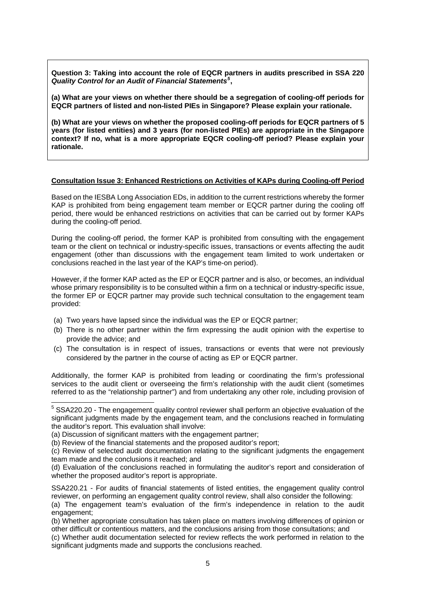<span id="page-4-0"></span>**Question 3: Taking into account the role of EQCR partners in audits prescribed in SSA 220**  *Quality Control for an Audit of Financial Statements[5](#page-4-0)* **,** 

**(a) What are your views on whether there should be a segregation of cooling-off periods for EQCR partners of listed and non-listed PIEs in Singapore? Please explain your rationale.** 

**(b) What are your views on whether the proposed cooling-off periods for EQCR partners of 5 years (for listed entities) and 3 years (for non-listed PIEs) are appropriate in the Singapore context? If no, what is a more appropriate EQCR cooling-off period? Please explain your rationale.** 

#### **Consultation Issue 3: Enhanced Restrictions on Activities of KAPs during Cooling-off Period**

Based on the IESBA Long Association EDs, in addition to the current restrictions whereby the former KAP is prohibited from being engagement team member or EQCR partner during the cooling off period, there would be enhanced restrictions on activities that can be carried out by former KAPs during the cooling-off period.

During the cooling-off period, the former KAP is prohibited from consulting with the engagement team or the client on technical or industry-specific issues, transactions or events affecting the audit engagement (other than discussions with the engagement team limited to work undertaken or conclusions reached in the last year of the KAP's time-on period).

However, if the former KAP acted as the EP or EQCR partner and is also, or becomes, an individual whose primary responsibility is to be consulted within a firm on a technical or industry-specific issue, the former EP or EQCR partner may provide such technical consultation to the engagement team provided:

- (a) Two years have lapsed since the individual was the EP or EQCR partner;
- (b) There is no other partner within the firm expressing the audit opinion with the expertise to provide the advice; and
- (c) The consultation is in respect of issues, transactions or events that were not previously considered by the partner in the course of acting as EP or EQCR partner.

Additionally, the former KAP is prohibited from leading or coordinating the firm's professional services to the audit client or overseeing the firm's relationship with the audit client (sometimes referred to as the "relationship partner") and from undertaking any other role, including provision of

-

<sup>&</sup>lt;sup>5</sup> SSA220.20 - The engagement quality control reviewer shall perform an objective evaluation of the significant judgments made by the engagement team, and the conclusions reached in formulating the auditor's report. This evaluation shall involve:

<sup>(</sup>a) Discussion of significant matters with the engagement partner;

<sup>(</sup>b) Review of the financial statements and the proposed auditor's report;

<sup>(</sup>c) Review of selected audit documentation relating to the significant judgments the engagement team made and the conclusions it reached; and

<sup>(</sup>d) Evaluation of the conclusions reached in formulating the auditor's report and consideration of whether the proposed auditor's report is appropriate.

SSA220.21 - For audits of financial statements of listed entities, the engagement quality control reviewer, on performing an engagement quality control review, shall also consider the following:

<sup>(</sup>a) The engagement team's evaluation of the firm's independence in relation to the audit engagement;

<sup>(</sup>b) Whether appropriate consultation has taken place on matters involving differences of opinion or other difficult or contentious matters, and the conclusions arising from those consultations; and

<sup>(</sup>c) Whether audit documentation selected for review reflects the work performed in relation to the significant judgments made and supports the conclusions reached.